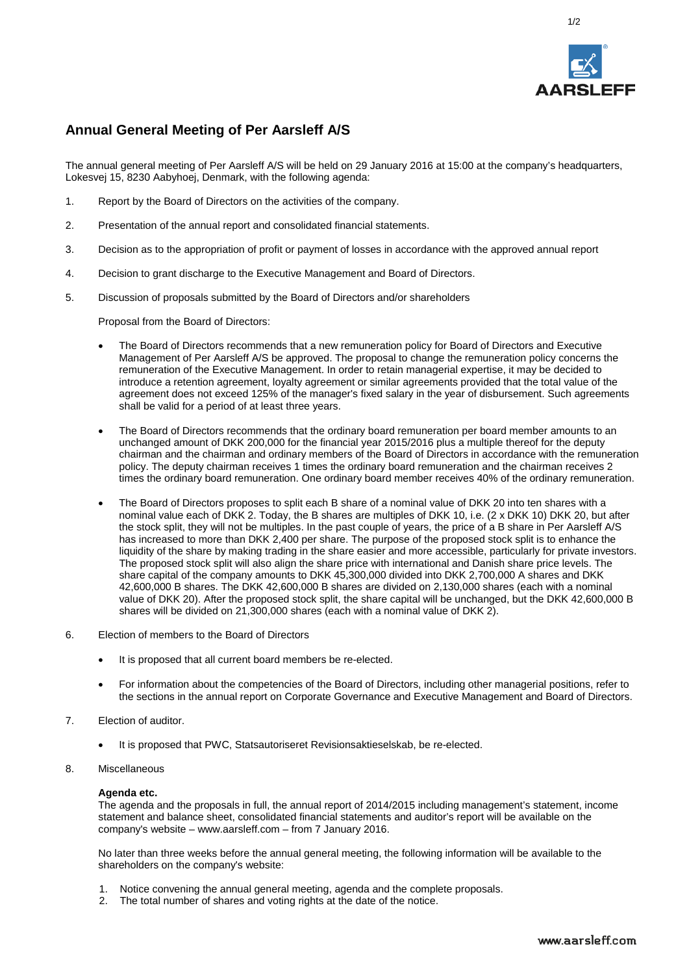

1/2

# **Annual General Meeting of Per Aarsleff A/S**

The annual general meeting of Per Aarsleff A/S will be held on 29 January 2016 at 15:00 at the company's headquarters, Lokesvej 15, 8230 Aabyhoej, Denmark, with the following agenda:

- 1. Report by the Board of Directors on the activities of the company.
- 2. Presentation of the annual report and consolidated financial statements.
- 3. Decision as to the appropriation of profit or payment of losses in accordance with the approved annual report
- 4. Decision to grant discharge to the Executive Management and Board of Directors.
- 5. Discussion of proposals submitted by the Board of Directors and/or shareholders

Proposal from the Board of Directors:

- The Board of Directors recommends that a new remuneration policy for Board of Directors and Executive Management of Per Aarsleff A/S be approved. The proposal to change the remuneration policy concerns the remuneration of the Executive Management. In order to retain managerial expertise, it may be decided to introduce a retention agreement, loyalty agreement or similar agreements provided that the total value of the agreement does not exceed 125% of the manager's fixed salary in the year of disbursement. Such agreements shall be valid for a period of at least three years.
- The Board of Directors recommends that the ordinary board remuneration per board member amounts to an unchanged amount of DKK 200,000 for the financial year 2015/2016 plus a multiple thereof for the deputy chairman and the chairman and ordinary members of the Board of Directors in accordance with the remuneration policy. The deputy chairman receives 1 times the ordinary board remuneration and the chairman receives 2 times the ordinary board remuneration. One ordinary board member receives 40% of the ordinary remuneration.
- The Board of Directors proposes to split each B share of a nominal value of DKK 20 into ten shares with a nominal value each of DKK 2. Today, the B shares are multiples of DKK 10, i.e. (2 x DKK 10) DKK 20, but after the stock split, they will not be multiples. In the past couple of years, the price of a B share in Per Aarsleff A/S has increased to more than DKK 2,400 per share. The purpose of the proposed stock split is to enhance the liquidity of the share by making trading in the share easier and more accessible, particularly for private investors. The proposed stock split will also align the share price with international and Danish share price levels. The share capital of the company amounts to DKK 45,300,000 divided into DKK 2,700,000 A shares and DKK 42,600,000 B shares. The DKK 42,600,000 B shares are divided on 2,130,000 shares (each with a nominal value of DKK 20). After the proposed stock split, the share capital will be unchanged, but the DKK 42,600,000 B shares will be divided on 21,300,000 shares (each with a nominal value of DKK 2).
- 6. Election of members to the Board of Directors
	- It is proposed that all current board members be re-elected.
	- For information about the competencies of the Board of Directors, including other managerial positions, refer to the sections in the annual report on Corporate Governance and Executive Management and Board of Directors.
- 7. Election of auditor.
	- It is proposed that PWC, Statsautoriseret Revisionsaktieselskab, be re-elected.
- 8. Miscellaneous

#### **Agenda etc.**

The agenda and the proposals in full, the annual report of 2014/2015 including management's statement, income statement and balance sheet, consolidated financial statements and auditor's report will be available on the company's website – www.aarsleff.com – from 7 January 2016.

No later than three weeks before the annual general meeting, the following information will be available to the shareholders on the company's website:

- 1. Notice convening the annual general meeting, agenda and the complete proposals.
- 2. The total number of shares and voting rights at the date of the notice.